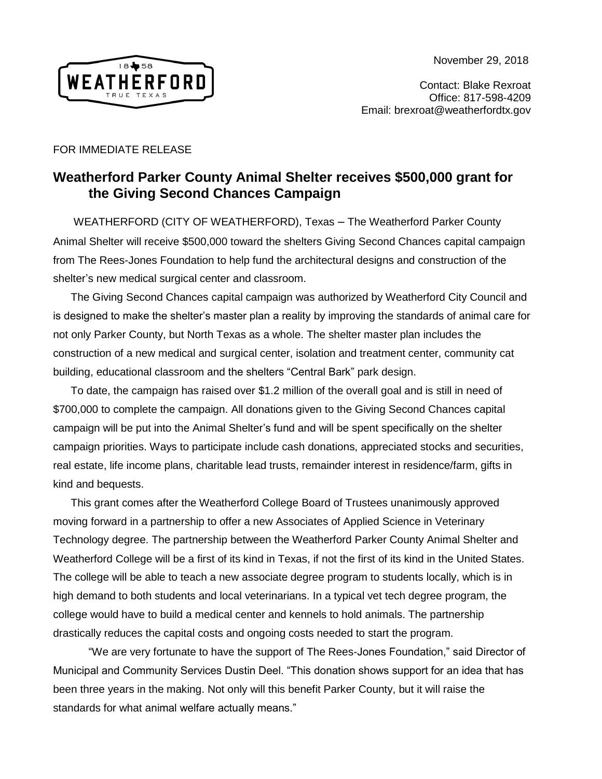November 29, 2018



Contact: Blake Rexroat Office: 817-598-4209 Email: brexroat@weatherfordtx.gov

## FOR IMMEDIATE RELEASE

## **Weatherford Parker County Animal Shelter receives \$500,000 grant for the Giving Second Chances Campaign**

 WEATHERFORD (CITY OF WEATHERFORD), Texas – The Weatherford Parker County Animal Shelter will receive \$500,000 toward the shelters Giving Second Chances capital campaign from The Rees-Jones Foundation to help fund the architectural designs and construction of the shelter's new medical surgical center and classroom.

The Giving Second Chances capital campaign was authorized by Weatherford City Council and is designed to make the shelter's master plan a reality by improving the standards of animal care for not only Parker County, but North Texas as a whole. The shelter master plan includes the construction of a new medical and surgical center, isolation and treatment center, community cat building, educational classroom and the shelters "Central Bark" park design.

To date, the campaign has raised over \$1.2 million of the overall goal and is still in need of \$700,000 to complete the campaign. All donations given to the Giving Second Chances capital campaign will be put into the Animal Shelter's fund and will be spent specifically on the shelter campaign priorities. Ways to participate include cash donations, appreciated stocks and securities, real estate, life income plans, charitable lead trusts, remainder interest in residence/farm, gifts in kind and bequests.

This grant comes after the Weatherford College Board of Trustees unanimously approved moving forward in a partnership to offer a new Associates of Applied Science in Veterinary Technology degree. The partnership between the Weatherford Parker County Animal Shelter and Weatherford College will be a first of its kind in Texas, if not the first of its kind in the United States. The college will be able to teach a new associate degree program to students locally, which is in high demand to both students and local veterinarians. In a typical vet tech degree program, the college would have to build a medical center and kennels to hold animals. The partnership drastically reduces the capital costs and ongoing costs needed to start the program.

"We are very fortunate to have the support of The Rees-Jones Foundation," said Director of Municipal and Community Services Dustin Deel. "This donation shows support for an idea that has been three years in the making. Not only will this benefit Parker County, but it will raise the standards for what animal welfare actually means."